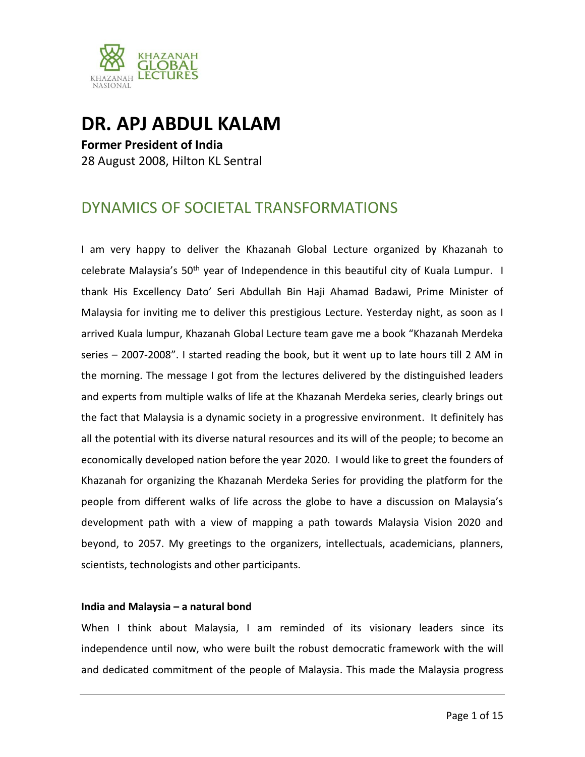

# **DR. APJ ABDUL KALAM**

**Former President of India** 28 August 2008, Hilton KL Sentral

# DYNAMICS OF SOCIETAL TRANSFORMATIONS

I am very happy to deliver the Khazanah Global Lecture organized by Khazanah to celebrate Malaysia's 50<sup>th</sup> year of Independence in this beautiful city of Kuala Lumpur. I thank His Excellency Dato' Seri Abdullah Bin Haji Ahamad Badawi, Prime Minister of Malaysia for inviting me to deliver this prestigious Lecture. Yesterday night, as soon as I arrived Kuala lumpur, Khazanah Global Lecture team gave me a book "Khazanah Merdeka series – 2007-2008". I started reading the book, but it went up to late hours till 2 AM in the morning. The message I got from the lectures delivered by the distinguished leaders and experts from multiple walks of life at the Khazanah Merdeka series, clearly brings out the fact that Malaysia is a dynamic society in a progressive environment. It definitely has all the potential with its diverse natural resources and its will of the people; to become an economically developed nation before the year 2020. I would like to greet the founders of Khazanah for organizing the Khazanah Merdeka Series for providing the platform for the people from different walks of life across the globe to have a discussion on Malaysia's development path with a view of mapping a path towards Malaysia Vision 2020 and beyond, to 2057. My greetings to the organizers, intellectuals, academicians, planners, scientists, technologists and other participants.

# **India and Malaysia – a natural bond**

When I think about Malaysia, I am reminded of its visionary leaders since its independence until now, who were built the robust democratic framework with the will and dedicated commitment of the people of Malaysia. This made the Malaysia progress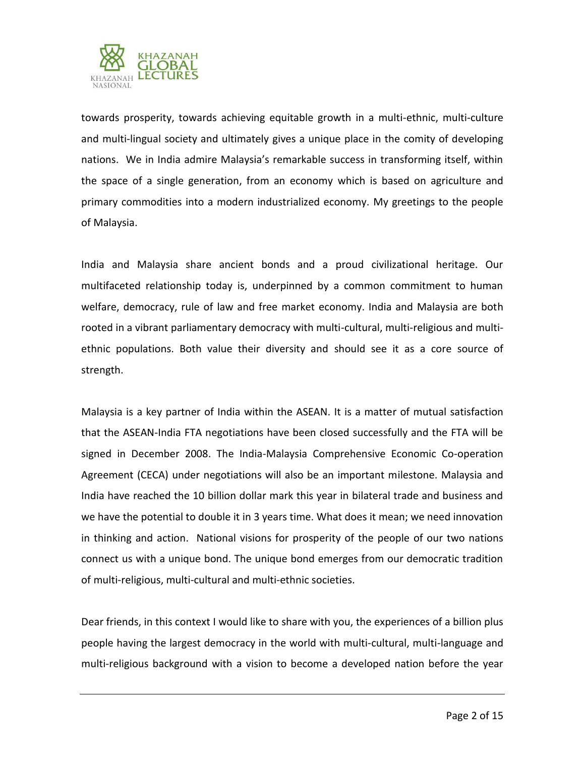

towards prosperity, towards achieving equitable growth in a multi-ethnic, multi-culture and multi-lingual society and ultimately gives a unique place in the comity of developing nations. We in India admire Malaysia's remarkable success in transforming itself, within the space of a single generation, from an economy which is based on agriculture and primary commodities into a modern industrialized economy. My greetings to the people of Malaysia.

India and Malaysia share ancient bonds and a proud civilizational heritage. Our multifaceted relationship today is, underpinned by a common commitment to human welfare, democracy, rule of law and free market economy. India and Malaysia are both rooted in a vibrant parliamentary democracy with multi-cultural, multi-religious and multiethnic populations. Both value their diversity and should see it as a core source of strength.

Malaysia is a key partner of India within the ASEAN. It is a matter of mutual satisfaction that the ASEAN-India FTA negotiations have been closed successfully and the FTA will be signed in December 2008. The India-Malaysia Comprehensive Economic Co-operation Agreement (CECA) under negotiations will also be an important milestone. Malaysia and India have reached the 10 billion dollar mark this year in bilateral trade and business and we have the potential to double it in 3 years time. What does it mean; we need innovation in thinking and action. National visions for prosperity of the people of our two nations connect us with a unique bond. The unique bond emerges from our democratic tradition of multi-religious, multi-cultural and multi-ethnic societies.

Dear friends, in this context I would like to share with you, the experiences of a billion plus people having the largest democracy in the world with multi-cultural, multi-language and multi-religious background with a vision to become a developed nation before the year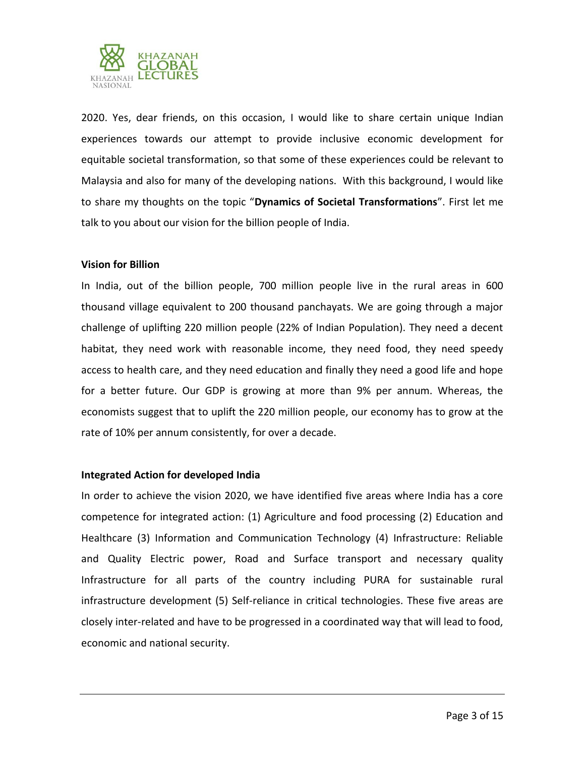

2020. Yes, dear friends, on this occasion, I would like to share certain unique Indian experiences towards our attempt to provide inclusive economic development for equitable societal transformation, so that some of these experiences could be relevant to Malaysia and also for many of the developing nations.With this background, I would like to share my thoughts on the topic "**Dynamics of Societal Transformations**". First let me talk to you about our vision for the billion people of India.

# **Vision for Billion**

In India, out of the billion people, 700 million people live in the rural areas in 600 thousand village equivalent to 200 thousand panchayats. We are going through a major challenge of uplifting 220 million people (22% of Indian Population). They need a decent habitat, they need work with reasonable income, they need food, they need speedy access to health care, and they need education and finally they need a good life and hope for a better future. Our GDP is growing at more than 9% per annum. Whereas, the economists suggest that to uplift the 220 million people, our economy has to grow at the rate of 10% per annum consistently, for over a decade.

### **Integrated Action for developed India**

In order to achieve the vision 2020, we have identified five areas where India has a core competence for integrated action: (1) Agriculture and food processing (2) Education and Healthcare (3) Information and Communication Technology (4) Infrastructure: Reliable and Quality Electric power, Road and Surface transport and necessary quality Infrastructure for all parts of the country including PURA for sustainable rural infrastructure development (5) Self-reliance in critical technologies. These five areas are closely inter-related and have to be progressed in a coordinated way that will lead to food, economic and national security.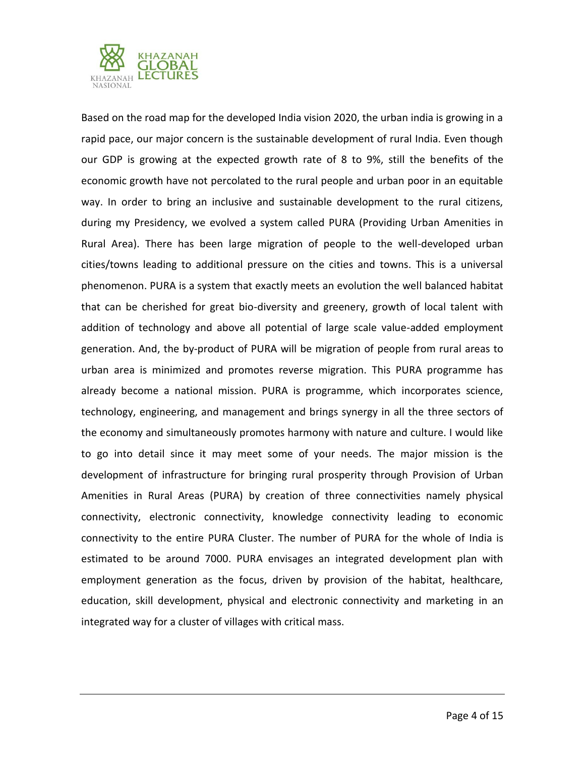

Based on the road map for the developed India vision 2020, the urban india is growing in a rapid pace, our major concern is the sustainable development of rural India. Even though our GDP is growing at the expected growth rate of 8 to 9%, still the benefits of the economic growth have not percolated to the rural people and urban poor in an equitable way. In order to bring an inclusive and sustainable development to the rural citizens, during my Presidency, we evolved a system called PURA (Providing Urban Amenities in Rural Area). There has been large migration of people to the well-developed urban cities/towns leading to additional pressure on the cities and towns. This is a universal phenomenon. PURA is a system that exactly meets an evolution the well balanced habitat that can be cherished for great bio-diversity and greenery, growth of local talent with addition of technology and above all potential of large scale value-added employment generation. And, the by-product of PURA will be migration of people from rural areas to urban area is minimized and promotes reverse migration. This PURA programme has already become a national mission. PURA is programme, which incorporates science, technology, engineering, and management and brings synergy in all the three sectors of the economy and simultaneously promotes harmony with nature and culture. I would like to go into detail since it may meet some of your needs. The major mission is the development of infrastructure for bringing rural prosperity through Provision of Urban Amenities in Rural Areas (PURA) by creation of three connectivities namely physical connectivity, electronic connectivity, knowledge connectivity leading to economic connectivity to the entire PURA Cluster. The number of PURA for the whole of India is estimated to be around 7000. PURA envisages an integrated development plan with employment generation as the focus, driven by provision of the habitat, healthcare, education, skill development, physical and electronic connectivity and marketing in an integrated way for a cluster of villages with critical mass.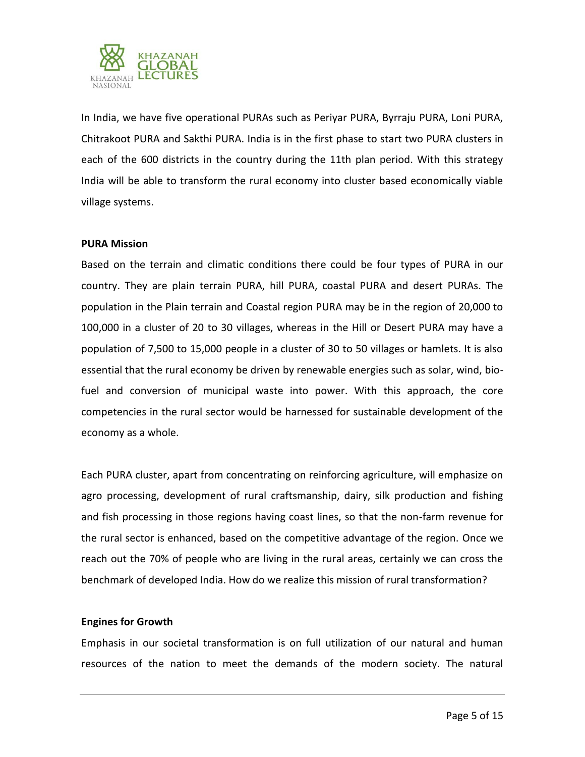

In India, we have five operational PURAs such as Periyar PURA, Byrraju PURA, Loni PURA, Chitrakoot PURA and Sakthi PURA. India is in the first phase to start two PURA clusters in each of the 600 districts in the country during the 11th plan period. With this strategy India will be able to transform the rural economy into cluster based economically viable village systems.

### **PURA Mission**

Based on the terrain and climatic conditions there could be four types of PURA in our country. They are plain terrain PURA, hill PURA, coastal PURA and desert PURAs. The population in the Plain terrain and Coastal region PURA may be in the region of 20,000 to 100,000 in a cluster of 20 to 30 villages, whereas in the Hill or Desert PURA may have a population of 7,500 to 15,000 people in a cluster of 30 to 50 villages or hamlets. It is also essential that the rural economy be driven by renewable energies such as solar, wind, biofuel and conversion of municipal waste into power. With this approach, the core competencies in the rural sector would be harnessed for sustainable development of the economy as a whole.

Each PURA cluster, apart from concentrating on reinforcing agriculture, will emphasize on agro processing, development of rural craftsmanship, dairy, silk production and fishing and fish processing in those regions having coast lines, so that the non-farm revenue for the rural sector is enhanced, based on the competitive advantage of the region. Once we reach out the 70% of people who are living in the rural areas, certainly we can cross the benchmark of developed India. How do we realize this mission of rural transformation?

### **Engines for Growth**

Emphasis in our societal transformation is on full utilization of our natural and human resources of the nation to meet the demands of the modern society. The natural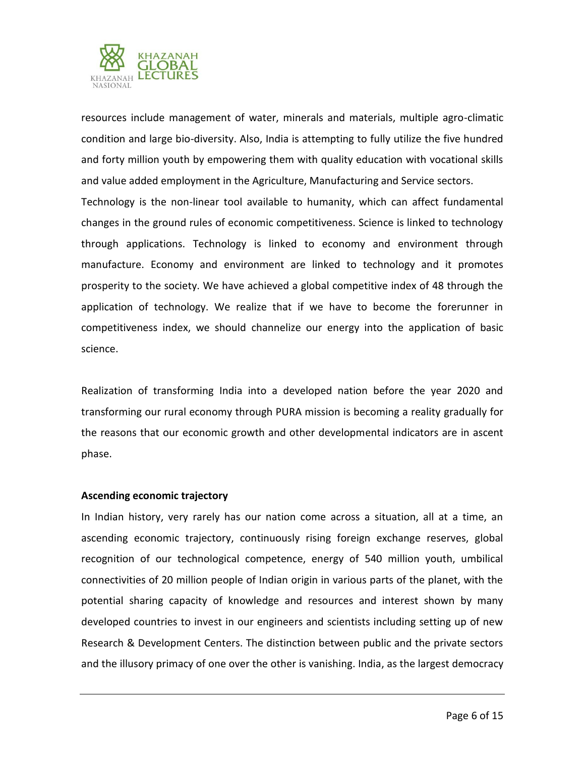

resources include management of water, minerals and materials, multiple agro-climatic condition and large bio-diversity. Also, India is attempting to fully utilize the five hundred and forty million youth by empowering them with quality education with vocational skills and value added employment in the Agriculture, Manufacturing and Service sectors.

Technology is the non-linear tool available to humanity, which can affect fundamental changes in the ground rules of economic competitiveness. Science is linked to technology through applications. Technology is linked to economy and environment through manufacture. Economy and environment are linked to technology and it promotes prosperity to the society. We have achieved a global competitive index of 48 through the application of technology. We realize that if we have to become the forerunner in competitiveness index, we should channelize our energy into the application of basic science.

Realization of transforming India into a developed nation before the year 2020 and transforming our rural economy through PURA mission is becoming a reality gradually for the reasons that our economic growth and other developmental indicators are in ascent phase.

### **Ascending economic trajectory**

In Indian history, very rarely has our nation come across a situation, all at a time, an ascending economic trajectory, continuously rising foreign exchange reserves, global recognition of our technological competence, energy of 540 million youth, umbilical connectivities of 20 million people of Indian origin in various parts of the planet, with the potential sharing capacity of knowledge and resources and interest shown by many developed countries to invest in our engineers and scientists including setting up of new Research & Development Centers. The distinction between public and the private sectors and the illusory primacy of one over the other is vanishing. India, as the largest democracy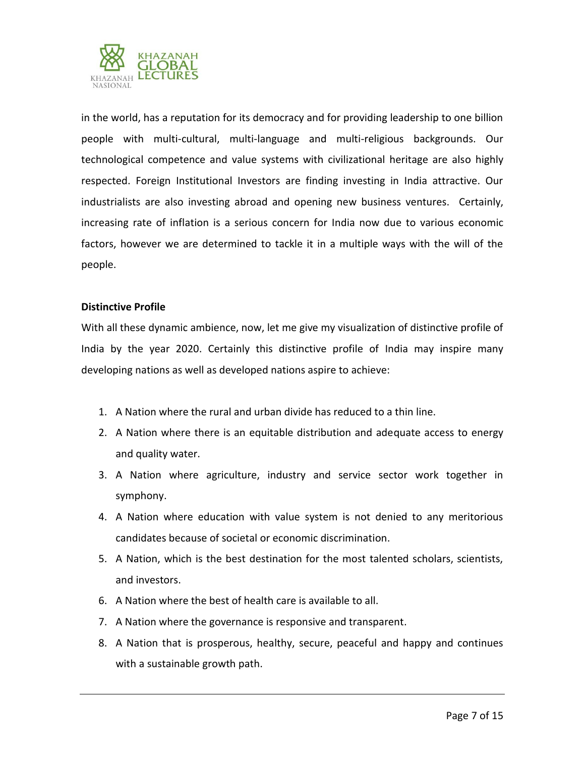

in the world, has a reputation for its democracy and for providing leadership to one billion people with multi-cultural, multi-language and multi-religious backgrounds. Our technological competence and value systems with civilizational heritage are also highly respected. Foreign Institutional Investors are finding investing in India attractive. Our industrialists are also investing abroad and opening new business ventures. Certainly, increasing rate of inflation is a serious concern for India now due to various economic factors, however we are determined to tackle it in a multiple ways with the will of the people.

# **Distinctive Profile**

With all these dynamic ambience, now, let me give my visualization of distinctive profile of India by the year 2020. Certainly this distinctive profile of India may inspire many developing nations as well as developed nations aspire to achieve:

- 1. A Nation where the rural and urban divide has reduced to a thin line.
- 2. A Nation where there is an equitable distribution and adequate access to energy and quality water.
- 3. A Nation where agriculture, industry and service sector work together in symphony.
- 4. A Nation where education with value system is not denied to any meritorious candidates because of societal or economic discrimination.
- 5. A Nation, which is the best destination for the most talented scholars, scientists, and investors.
- 6. A Nation where the best of health care is available to all.
- 7. A Nation where the governance is responsive and transparent.
- 8. A Nation that is prosperous, healthy, secure, peaceful and happy and continues with a sustainable growth path.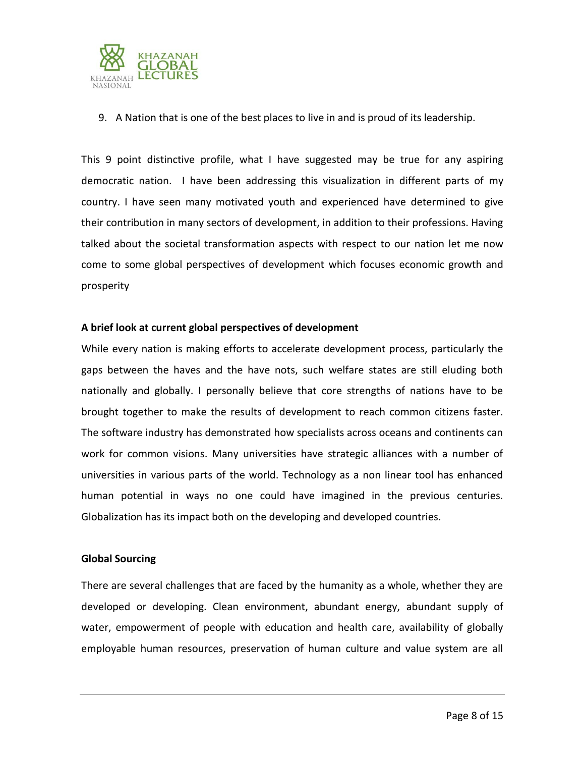

9. A Nation that is one of the best places to live in and is proud of its leadership.

This 9 point distinctive profile, what I have suggested may be true for any aspiring democratic nation. I have been addressing this visualization in different parts of my country. I have seen many motivated youth and experienced have determined to give their contribution in many sectors of development, in addition to their professions. Having talked about the societal transformation aspects with respect to our nation let me now come to some global perspectives of development which focuses economic growth and prosperity

# **A brief look at current global perspectives of development**

While every nation is making efforts to accelerate development process, particularly the gaps between the haves and the have nots, such welfare states are still eluding both nationally and globally. I personally believe that core strengths of nations have to be brought together to make the results of development to reach common citizens faster. The software industry has demonstrated how specialists across oceans and continents can work for common visions. Many universities have strategic alliances with a number of universities in various parts of the world. Technology as a non linear tool has enhanced human potential in ways no one could have imagined in the previous centuries. Globalization has its impact both on the developing and developed countries.

# **Global Sourcing**

There are several challenges that are faced by the humanity as a whole, whether they are developed or developing. Clean environment, abundant energy, abundant supply of water, empowerment of people with education and health care, availability of globally employable human resources, preservation of human culture and value system are all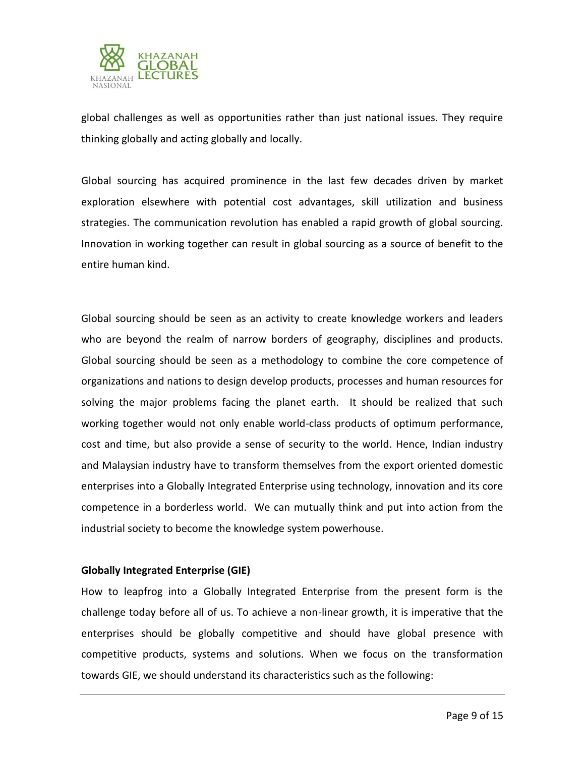

global challenges as well as opportunities rather than just national issues. They require thinking globally and acting globally and locally.

Global sourcing has acquired prominence in the last few decades driven by market exploration elsewhere with potential cost advantages, skill utilization and business strategies. The communication revolution has enabled a rapid growth of global sourcing. Innovation in working together can result in global sourcing as a source of benefit to the entire human kind.

Global sourcing should be seen as an activity to create knowledge workers and leaders who are beyond the realm of narrow borders of geography, disciplines and products. Global sourcing should be seen as a methodology to combine the core competence of organizations and nations to design develop products, processes and human resources for solving the major problems facing the planet earth. It should be realized that such working together would not only enable world-class products of optimum performance, cost and time, but also provide a sense of security to the world. Hence, Indian industry and Malaysian industry have to transform themselves from the export oriented domestic enterprises into a Globally Integrated Enterprise using technology, innovation and its core competence in a borderless world. We can mutually think and put into action from the industrial society to become the knowledge system powerhouse.

# **Globally Integrated Enterprise (GIE)**

How to leapfrog into a Globally Integrated Enterprise from the present form is the challenge today before all of us. To achieve a non-linear growth, it is imperative that the enterprises should be globally competitive and should have global presence with competitive products, systems and solutions. When we focus on the transformation towards GIE, we should understand its characteristics such as the following: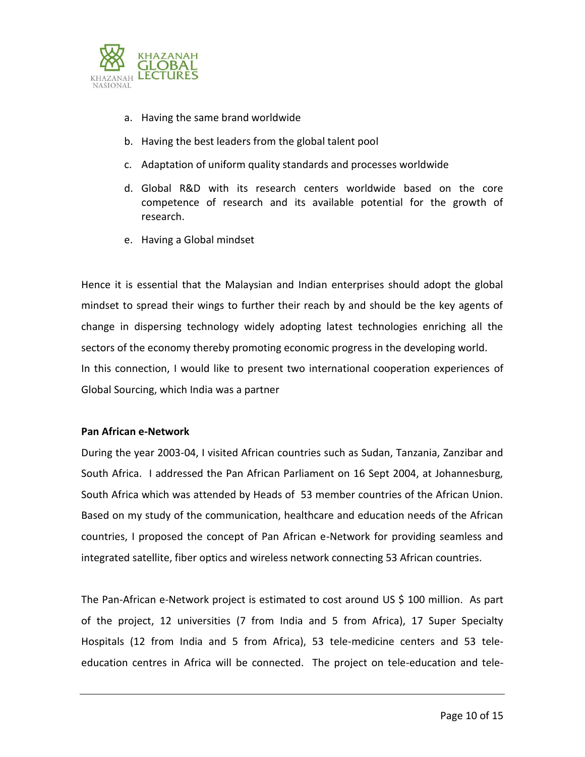

- a. Having the same brand worldwide
- b. Having the best leaders from the global talent pool
- c. Adaptation of uniform quality standards and processes worldwide
- d. Global R&D with its research centers worldwide based on the core competence of research and its available potential for the growth of research.
- e. Having a Global mindset

Hence it is essential that the Malaysian and Indian enterprises should adopt the global mindset to spread their wings to further their reach by and should be the key agents of change in dispersing technology widely adopting latest technologies enriching all the sectors of the economy thereby promoting economic progress in the developing world. In this connection, I would like to present two international cooperation experiences of Global Sourcing, which India was a partner

### **Pan African e-Network**

During the year 2003-04, I visited African countries such as Sudan, Tanzania, Zanzibar and South Africa. I addressed the Pan African Parliament on 16 Sept 2004, at Johannesburg, South Africa which was attended by Heads of 53 member countries of the African Union. Based on my study of the communication, healthcare and education needs of the African countries, I proposed the concept of Pan African e-Network for providing seamless and integrated satellite, fiber optics and wireless network connecting 53 African countries.

The Pan-African e-Network project is estimated to cost around US \$ 100 million. As part of the project, 12 universities (7 from India and 5 from Africa), 17 Super Specialty Hospitals (12 from India and 5 from Africa), 53 tele-medicine centers and 53 teleeducation centres in Africa will be connected. The project on tele-education and tele-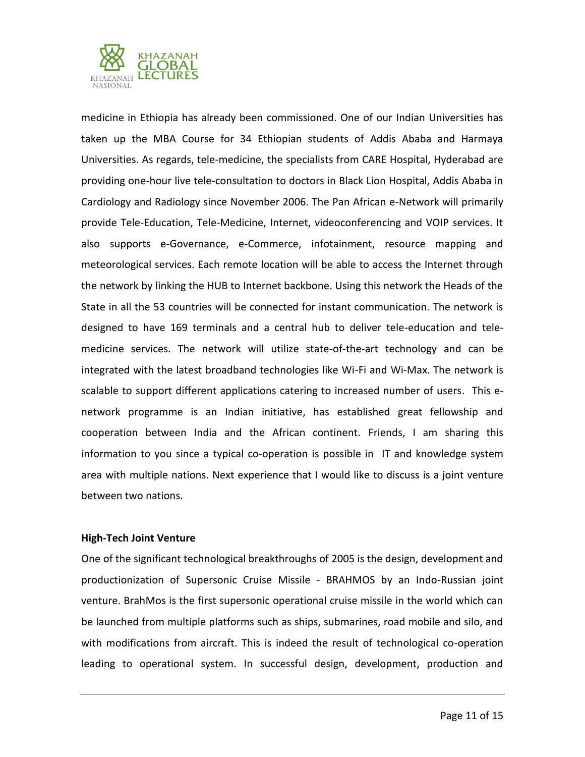

medicine in Ethiopia has already been commissioned. One of our Indian Universities has taken up the MBA Course for 34 Ethiopian students of Addis Ababa and Harmaya Universities. As regards, tele-medicine, the specialists from CARE Hospital, Hyderabad are providing one-hour live tele-consultation to doctors in Black Lion Hospital, Addis Ababa in Cardiology and Radiology since November 2006. The Pan African e-Network will primarily provide Tele-Education, Tele-Medicine, Internet, videoconferencing and VOIP services. It also supports e-Governance, e-Commerce, infotainment, resource mapping and meteorological services. Each remote location will be able to access the Internet through the network by linking the HUB to Internet backbone. Using this network the Heads of the State in all the 53 countries will be connected for instant communication. The network is designed to have 169 terminals and a central hub to deliver tele-education and telemedicine services. The network will utilize state-of-the-art technology and can be integrated with the latest broadband technologies like Wi-Fi and Wi-Max. The network is scalable to support different applications catering to increased number of users. This enetwork programme is an Indian initiative, has established great fellowship and cooperation between India and the African continent. Friends, I am sharing this information to you since a typical co-operation is possible in IT and knowledge system area with multiple nations. Next experience that I would like to discuss is a joint venture between two nations.

### **High-Tech Joint Venture**

One of the significant technological breakthroughs of 2005 is the design, development and productionization of Supersonic Cruise Missile - BRAHMOS by an Indo-Russian joint venture. BrahMos is the first supersonic operational cruise missile in the world which can be launched from multiple platforms such as ships, submarines, road mobile and silo, and with modifications from aircraft. This is indeed the result of technological co-operation leading to operational system. In successful design, development, production and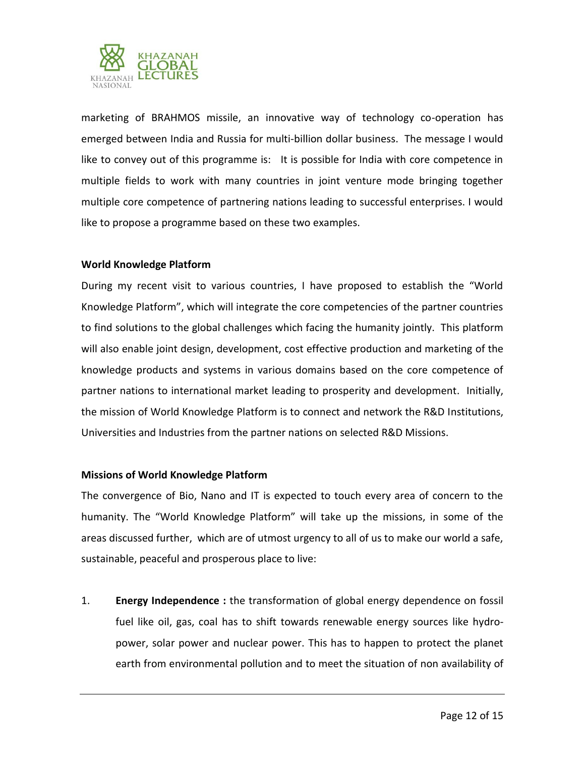

marketing of BRAHMOS missile, an innovative way of technology co-operation has emerged between India and Russia for multi-billion dollar business. The message I would like to convey out of this programme is: It is possible for India with core competence in multiple fields to work with many countries in joint venture mode bringing together multiple core competence of partnering nations leading to successful enterprises. I would like to propose a programme based on these two examples.

# **World Knowledge Platform**

During my recent visit to various countries, I have proposed to establish the "World Knowledge Platform", which will integrate the core competencies of the partner countries to find solutions to the global challenges which facing the humanity jointly. This platform will also enable joint design, development, cost effective production and marketing of the knowledge products and systems in various domains based on the core competence of partner nations to international market leading to prosperity and development. Initially, the mission of World Knowledge Platform is to connect and network the R&D Institutions, Universities and Industries from the partner nations on selected R&D Missions.

### **Missions of World Knowledge Platform**

The convergence of Bio, Nano and IT is expected to touch every area of concern to the humanity. The "World Knowledge Platform" will take up the missions, in some of the areas discussed further, which are of utmost urgency to all of us to make our world a safe, sustainable, peaceful and prosperous place to live:

1. **Energy Independence :** the transformation of global energy dependence on fossil fuel like oil, gas, coal has to shift towards renewable energy sources like hydropower, solar power and nuclear power. This has to happen to protect the planet earth from environmental pollution and to meet the situation of non availability of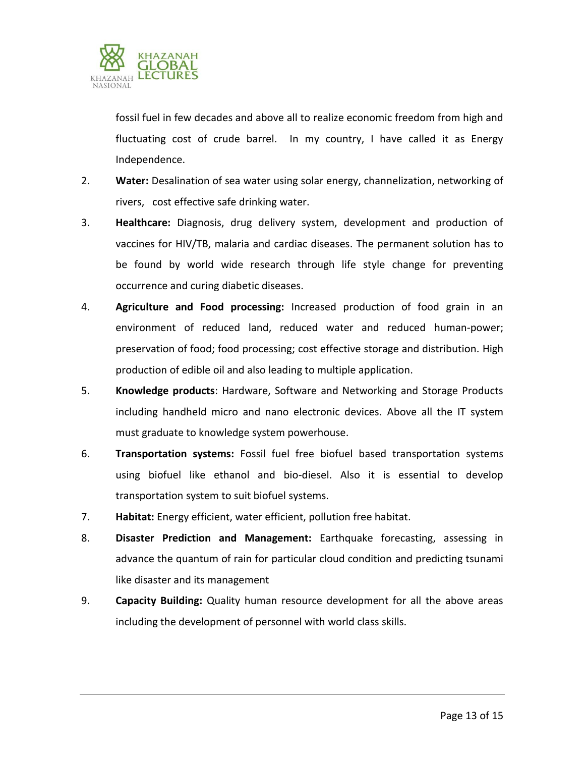

fossil fuel in few decades and above all to realize economic freedom from high and fluctuating cost of crude barrel. In my country, I have called it as Energy Independence.

- 2. **Water:** Desalination of sea water using solar energy, channelization, networking of rivers, cost effective safe drinking water.
- 3. **Healthcare:** Diagnosis, drug delivery system, development and production of vaccines for HIV/TB, malaria and cardiac diseases. The permanent solution has to be found by world wide research through life style change for preventing occurrence and curing diabetic diseases.
- 4. **Agriculture and Food processing:** Increased production of food grain in an environment of reduced land, reduced water and reduced human-power; preservation of food; food processing; cost effective storage and distribution. High production of edible oil and also leading to multiple application.
- 5. **Knowledge products**: Hardware, Software and Networking and Storage Products including handheld micro and nano electronic devices. Above all the IT system must graduate to knowledge system powerhouse.
- 6. **Transportation systems:** Fossil fuel free biofuel based transportation systems using biofuel like ethanol and bio-diesel. Also it is essential to develop transportation system to suit biofuel systems.
- 7. **Habitat:** Energy efficient, water efficient, pollution free habitat.
- 8. **Disaster Prediction and Management:** Earthquake forecasting, assessing in advance the quantum of rain for particular cloud condition and predicting tsunami like disaster and its management
- 9. **Capacity Building:** Quality human resource development for all the above areas including the development of personnel with world class skills.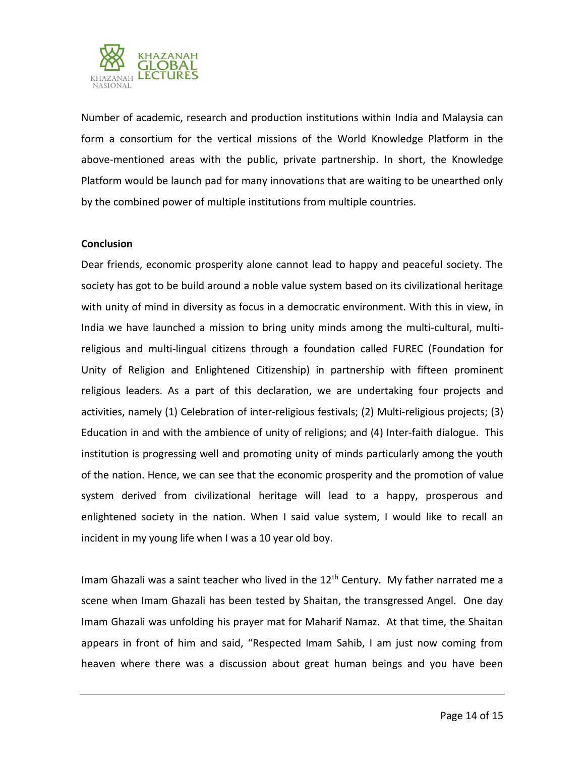

Number of academic, research and production institutions within India and Malaysia can form a consortium for the vertical missions of the World Knowledge Platform in the above-mentioned areas with the public, private partnership. In short, the Knowledge Platform would be launch pad for many innovations that are waiting to be unearthed only by the combined power of multiple institutions from multiple countries.

### **Conclusion**

Dear friends, economic prosperity alone cannot lead to happy and peaceful society. The society has got to be build around a noble value system based on its civilizational heritage with unity of mind in diversity as focus in a democratic environment. With this in view, in India we have launched a mission to bring unity minds among the multi-cultural, multireligious and multi-lingual citizens through a foundation called FUREC (Foundation for Unity of Religion and Enlightened Citizenship) in partnership with fifteen prominent religious leaders. As a part of this declaration, we are undertaking four projects and activities, namely (1) Celebration of inter-religious festivals; (2) Multi-religious projects; (3) Education in and with the ambience of unity of religions; and (4) Inter-faith dialogue. This institution is progressing well and promoting unity of minds particularly among the youth of the nation. Hence, we can see that the economic prosperity and the promotion of value system derived from civilizational heritage will lead to a happy, prosperous and enlightened society in the nation. When I said value system, I would like to recall an incident in my young life when I was a 10 year old boy.

Imam Ghazali was a saint teacher who lived in the  $12<sup>th</sup>$  Century. My father narrated me a scene when Imam Ghazali has been tested by Shaitan, the transgressed Angel. One day Imam Ghazali was unfolding his prayer mat for Maharif Namaz. At that time, the Shaitan appears in front of him and said, "Respected Imam Sahib, I am just now coming from heaven where there was a discussion about great human beings and you have been